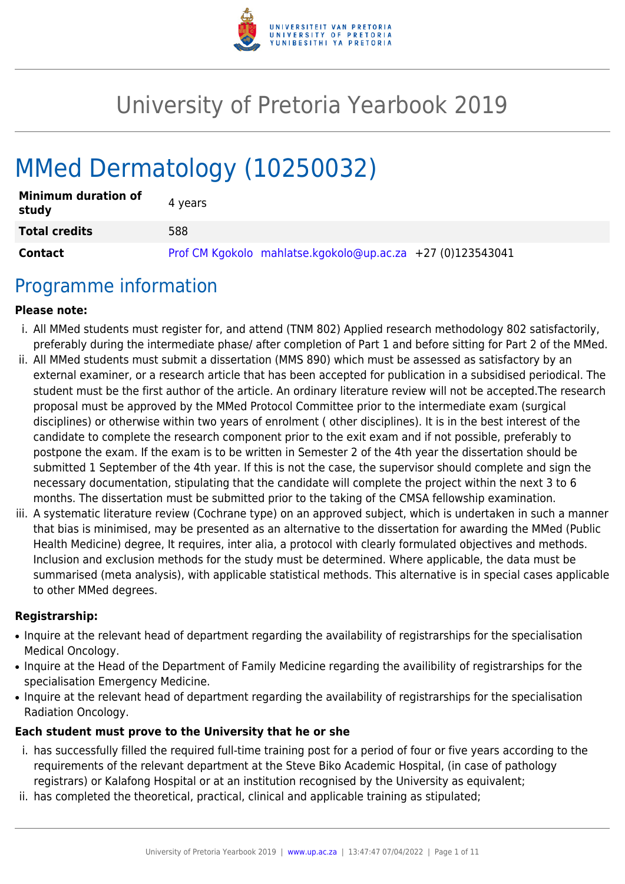

# University of Pretoria Yearbook 2019

# MMed Dermatology (10250032)

| <b>Minimum duration of</b><br>study | 4 vears                                                    |
|-------------------------------------|------------------------------------------------------------|
| <b>Total credits</b>                | 588                                                        |
| <b>Contact</b>                      | Prof CM Kgokolo mahlatse.kgokolo@up.ac.za +27 (0)123543041 |

# Programme information

#### **Please note:**

- i. All MMed students must register for, and attend (TNM 802) Applied research methodology 802 satisfactorily, preferably during the intermediate phase/ after completion of Part 1 and before sitting for Part 2 of the MMed.
- ii. All MMed students must submit a dissertation (MMS 890) which must be assessed as satisfactory by an external examiner, or a research article that has been accepted for publication in a subsidised periodical. The student must be the first author of the article. An ordinary literature review will not be accepted.The research proposal must be approved by the MMed Protocol Committee prior to the intermediate exam (surgical disciplines) or otherwise within two years of enrolment ( other disciplines). It is in the best interest of the candidate to complete the research component prior to the exit exam and if not possible, preferably to postpone the exam. If the exam is to be written in Semester 2 of the 4th year the dissertation should be submitted 1 September of the 4th year. If this is not the case, the supervisor should complete and sign the necessary documentation, stipulating that the candidate will complete the project within the next 3 to 6 months. The dissertation must be submitted prior to the taking of the CMSA fellowship examination.
- iii. A systematic literature review (Cochrane type) on an approved subject, which is undertaken in such a manner that bias is minimised, may be presented as an alternative to the dissertation for awarding the MMed (Public Health Medicine) degree, It requires, inter alia, a protocol with clearly formulated objectives and methods. Inclusion and exclusion methods for the study must be determined. Where applicable, the data must be summarised (meta analysis), with applicable statistical methods. This alternative is in special cases applicable to other MMed degrees.

#### **Registrarship:**

- Inquire at the relevant head of department regarding the availability of registrarships for the specialisation Medical Oncology.
- Inquire at the Head of the Department of Family Medicine regarding the availibility of registrarships for the specialisation Emergency Medicine.
- Inquire at the relevant head of department regarding the availability of registrarships for the specialisation Radiation Oncology.

#### **Each student must prove to the University that he or she**

- i. has successfully filled the required full-time training post for a period of four or five years according to the requirements of the relevant department at the Steve Biko Academic Hospital, (in case of pathology registrars) or Kalafong Hospital or at an institution recognised by the University as equivalent;
- ii. has completed the theoretical, practical, clinical and applicable training as stipulated;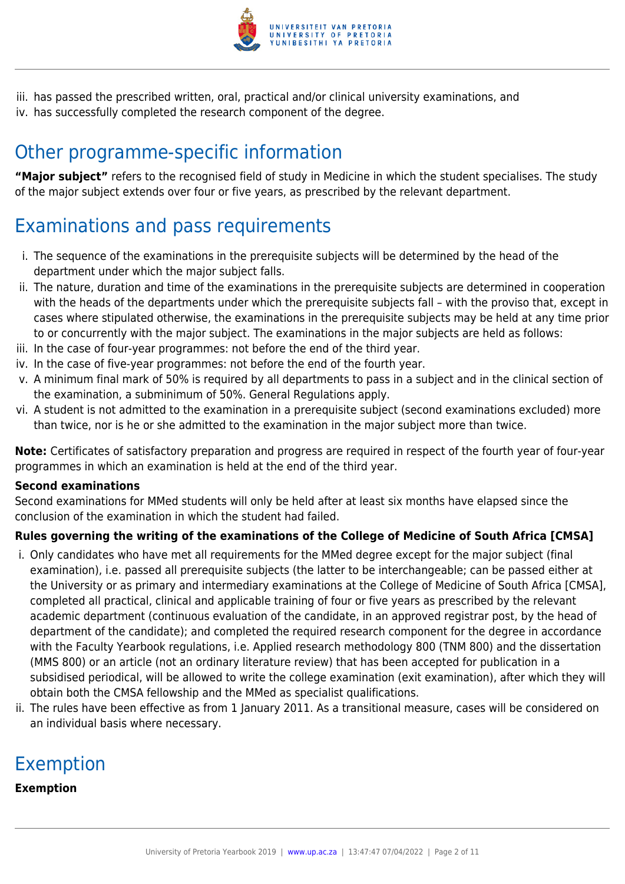

iii. has passed the prescribed written, oral, practical and/or clinical university examinations, and iv. has successfully completed the research component of the degree.

# Other programme-specific information

**"Major subject"** refers to the recognised field of study in Medicine in which the student specialises. The study of the major subject extends over four or five years, as prescribed by the relevant department.

# Examinations and pass requirements

- i. The sequence of the examinations in the prerequisite subjects will be determined by the head of the department under which the major subject falls.
- ii. The nature, duration and time of the examinations in the prerequisite subjects are determined in cooperation with the heads of the departments under which the prerequisite subjects fall – with the proviso that, except in cases where stipulated otherwise, the examinations in the prerequisite subjects may be held at any time prior to or concurrently with the major subject. The examinations in the major subjects are held as follows:
- iii. In the case of four-year programmes: not before the end of the third year.
- iv. In the case of five-year programmes: not before the end of the fourth year.
- v. A minimum final mark of 50% is required by all departments to pass in a subject and in the clinical section of the examination, a subminimum of 50%. General Regulations apply.
- vi. A student is not admitted to the examination in a prerequisite subject (second examinations excluded) more than twice, nor is he or she admitted to the examination in the major subject more than twice.

**Note:** Certificates of satisfactory preparation and progress are required in respect of the fourth year of four-year programmes in which an examination is held at the end of the third year.

#### **Second examinations**

Second examinations for MMed students will only be held after at least six months have elapsed since the conclusion of the examination in which the student had failed.

#### **Rules governing the writing of the examinations of the College of Medicine of South Africa [CMSA]**

- i. Only candidates who have met all requirements for the MMed degree except for the major subject (final examination), i.e. passed all prerequisite subjects (the latter to be interchangeable; can be passed either at the University or as primary and intermediary examinations at the College of Medicine of South Africa [CMSA], completed all practical, clinical and applicable training of four or five years as prescribed by the relevant academic department (continuous evaluation of the candidate, in an approved registrar post, by the head of department of the candidate); and completed the required research component for the degree in accordance with the Faculty Yearbook regulations, i.e. Applied research methodology 800 (TNM 800) and the dissertation (MMS 800) or an article (not an ordinary literature review) that has been accepted for publication in a subsidised periodical, will be allowed to write the college examination (exit examination), after which they will obtain both the CMSA fellowship and the MMed as specialist qualifications.
- ii. The rules have been effective as from 1 January 2011. As a transitional measure, cases will be considered on an individual basis where necessary.

# Exemption

#### **Exemption**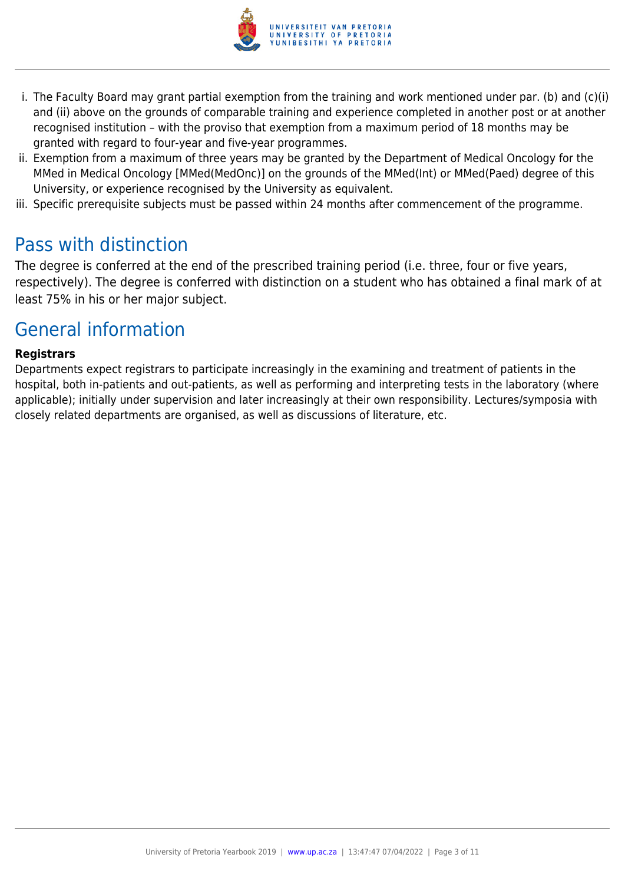

- i. The Faculty Board may grant partial exemption from the training and work mentioned under par. (b) and (c)(i) and (ii) above on the grounds of comparable training and experience completed in another post or at another recognised institution – with the proviso that exemption from a maximum period of 18 months may be granted with regard to four-year and five-year programmes.
- ii. Exemption from a maximum of three years may be granted by the Department of Medical Oncology for the MMed in Medical Oncology [MMed(MedOnc)] on the grounds of the MMed(Int) or MMed(Paed) degree of this University, or experience recognised by the University as equivalent.
- iii. Specific prerequisite subjects must be passed within 24 months after commencement of the programme.

# Pass with distinction

The degree is conferred at the end of the prescribed training period (i.e. three, four or five years, respectively). The degree is conferred with distinction on a student who has obtained a final mark of at least 75% in his or her major subject.

# General information

#### **Registrars**

Departments expect registrars to participate increasingly in the examining and treatment of patients in the hospital, both in-patients and out-patients, as well as performing and interpreting tests in the laboratory (where applicable); initially under supervision and later increasingly at their own responsibility. Lectures/symposia with closely related departments are organised, as well as discussions of literature, etc.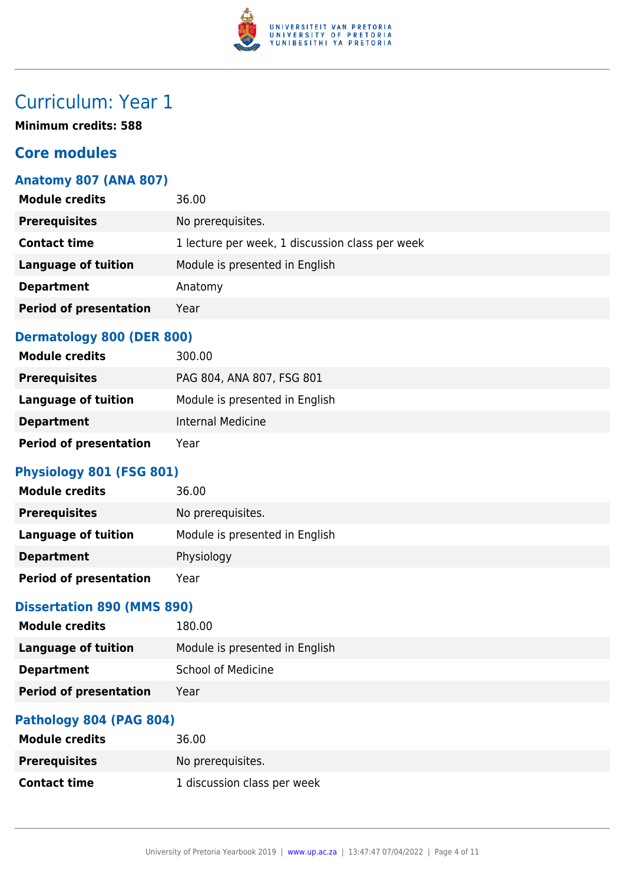

# Curriculum: Year 1

**Minimum credits: 588**

# **Core modules**

### **Anatomy 807 (ANA 807)**

| <b>Module credits</b>         | 36.00                                           |
|-------------------------------|-------------------------------------------------|
| <b>Prerequisites</b>          | No prerequisites.                               |
| <b>Contact time</b>           | 1 lecture per week, 1 discussion class per week |
| <b>Language of tuition</b>    | Module is presented in English                  |
| <b>Department</b>             | Anatomy                                         |
| <b>Period of presentation</b> | Year                                            |
|                               |                                                 |

#### **Dermatology 800 (DER 800)**

| <b>Module credits</b>         | 300.00                         |
|-------------------------------|--------------------------------|
| <b>Prerequisites</b>          | PAG 804, ANA 807, FSG 801      |
| Language of tuition           | Module is presented in English |
| <b>Department</b>             | Internal Medicine              |
| <b>Period of presentation</b> | Year                           |

### **Physiology 801 (FSG 801)**

| <b>Module credits</b>         | 36.00                          |
|-------------------------------|--------------------------------|
| <b>Prerequisites</b>          | No prerequisites.              |
| <b>Language of tuition</b>    | Module is presented in English |
| <b>Department</b>             | Physiology                     |
| <b>Period of presentation</b> | Year                           |

### **Dissertation 890 (MMS 890)**

| <b>Module credits</b>         | 180.00                         |
|-------------------------------|--------------------------------|
| <b>Language of tuition</b>    | Module is presented in English |
| <b>Department</b>             | School of Medicine             |
| <b>Period of presentation</b> | Year                           |
|                               |                                |

### **Pathology 804 (PAG 804)**

| <b>Module credits</b> | 36.00                       |
|-----------------------|-----------------------------|
| <b>Prerequisites</b>  | No prereguisites.           |
| <b>Contact time</b>   | 1 discussion class per week |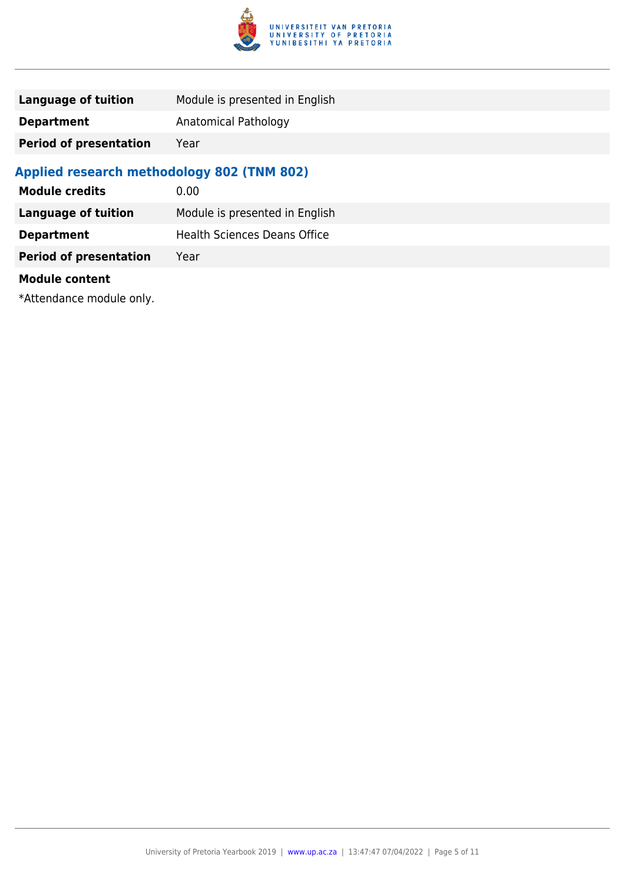

| Language of tuition           | Module is presented in English |
|-------------------------------|--------------------------------|
| <b>Department</b>             | Anatomical Pathology           |
| <b>Period of presentation</b> | Year                           |

# **Applied research methodology 802 (TNM 802)**

| <b>Module credits</b>         | 0.00                                |
|-------------------------------|-------------------------------------|
| <b>Language of tuition</b>    | Module is presented in English      |
| <b>Department</b>             | <b>Health Sciences Deans Office</b> |
| <b>Period of presentation</b> | Year                                |
| <b>Module content</b>         |                                     |

\*Attendance module only.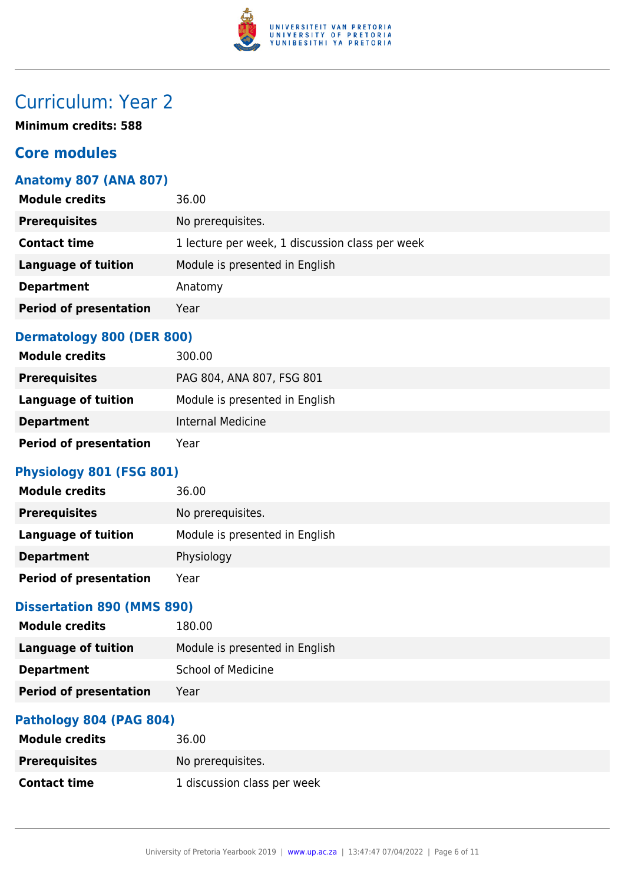

# Curriculum: Year 2

**Minimum credits: 588**

# **Core modules**

### **Anatomy 807 (ANA 807)**

| <b>Module credits</b>         | 36.00                                           |
|-------------------------------|-------------------------------------------------|
| <b>Prerequisites</b>          | No prerequisites.                               |
| <b>Contact time</b>           | 1 lecture per week, 1 discussion class per week |
| <b>Language of tuition</b>    | Module is presented in English                  |
| <b>Department</b>             | Anatomy                                         |
| <b>Period of presentation</b> | Year                                            |
|                               |                                                 |

#### **Dermatology 800 (DER 800)**

| <b>Module credits</b>         | 300.00                         |
|-------------------------------|--------------------------------|
| <b>Prerequisites</b>          | PAG 804, ANA 807, FSG 801      |
| Language of tuition           | Module is presented in English |
| <b>Department</b>             | Internal Medicine              |
| <b>Period of presentation</b> | Year                           |

### **Physiology 801 (FSG 801)**

| <b>Module credits</b>         | 36.00                          |
|-------------------------------|--------------------------------|
| <b>Prerequisites</b>          | No prerequisites.              |
| <b>Language of tuition</b>    | Module is presented in English |
| <b>Department</b>             | Physiology                     |
| <b>Period of presentation</b> | Year                           |

### **Dissertation 890 (MMS 890)**

| <b>Module credits</b>         | 180.00                         |
|-------------------------------|--------------------------------|
| <b>Language of tuition</b>    | Module is presented in English |
| <b>Department</b>             | School of Medicine             |
| <b>Period of presentation</b> | Year                           |
|                               |                                |

### **Pathology 804 (PAG 804)**

| <b>Module credits</b> | 36.00                       |
|-----------------------|-----------------------------|
| <b>Prerequisites</b>  | No prereguisites.           |
| <b>Contact time</b>   | 1 discussion class per week |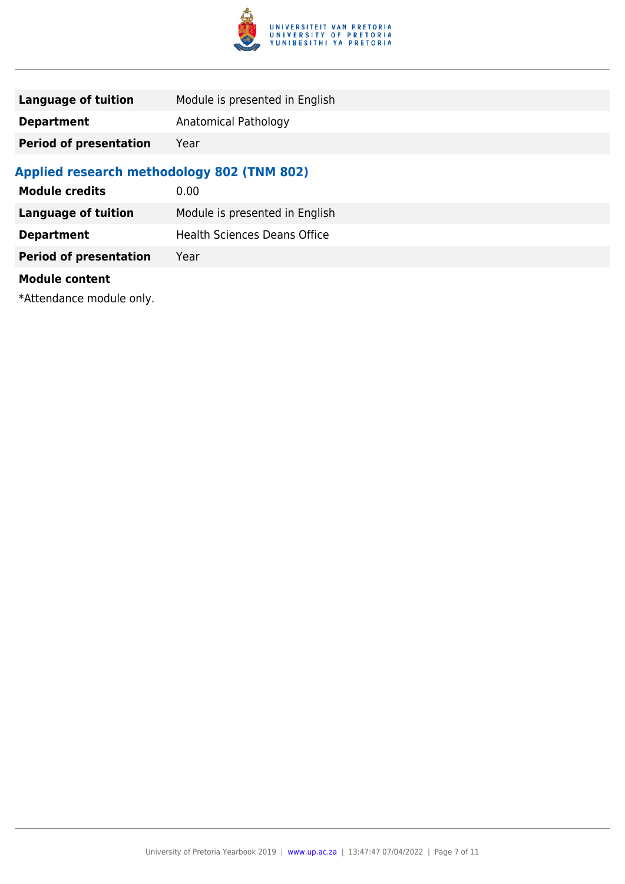

| Language of tuition           | Module is presented in English |
|-------------------------------|--------------------------------|
| <b>Department</b>             | Anatomical Pathology           |
| <b>Period of presentation</b> | Year                           |

# **Applied research methodology 802 (TNM 802)**

| <b>Module credits</b>         | 0.00                                |
|-------------------------------|-------------------------------------|
| <b>Language of tuition</b>    | Module is presented in English      |
| <b>Department</b>             | <b>Health Sciences Deans Office</b> |
| <b>Period of presentation</b> | Year                                |
| <b>Module content</b>         |                                     |

\*Attendance module only.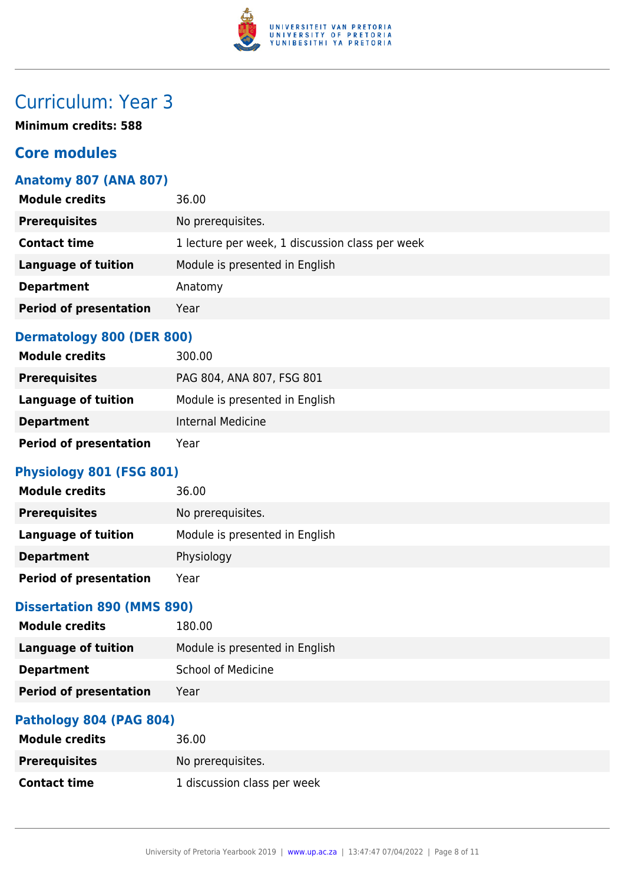

# Curriculum: Year 3

**Minimum credits: 588**

# **Core modules**

### **Anatomy 807 (ANA 807)**

| <b>Module credits</b>         | 36.00                                           |
|-------------------------------|-------------------------------------------------|
| <b>Prerequisites</b>          | No prerequisites.                               |
| <b>Contact time</b>           | 1 lecture per week, 1 discussion class per week |
| <b>Language of tuition</b>    | Module is presented in English                  |
| <b>Department</b>             | Anatomy                                         |
| <b>Period of presentation</b> | Year                                            |
|                               |                                                 |

#### **Dermatology 800 (DER 800)**

| <b>Module credits</b>         | 300.00                         |
|-------------------------------|--------------------------------|
| <b>Prerequisites</b>          | PAG 804, ANA 807, FSG 801      |
| Language of tuition           | Module is presented in English |
| <b>Department</b>             | Internal Medicine              |
| <b>Period of presentation</b> | Year                           |

### **Physiology 801 (FSG 801)**

| <b>Module credits</b>         | 36.00                          |
|-------------------------------|--------------------------------|
| <b>Prerequisites</b>          | No prerequisites.              |
| <b>Language of tuition</b>    | Module is presented in English |
| <b>Department</b>             | Physiology                     |
| <b>Period of presentation</b> | Year                           |

### **Dissertation 890 (MMS 890)**

| <b>Module credits</b>         | 180.00                         |
|-------------------------------|--------------------------------|
| <b>Language of tuition</b>    | Module is presented in English |
| <b>Department</b>             | School of Medicine             |
| <b>Period of presentation</b> | Year                           |
|                               |                                |

### **Pathology 804 (PAG 804)**

| <b>Module credits</b> | 36.00                       |
|-----------------------|-----------------------------|
| <b>Prerequisites</b>  | No prereguisites.           |
| <b>Contact time</b>   | 1 discussion class per week |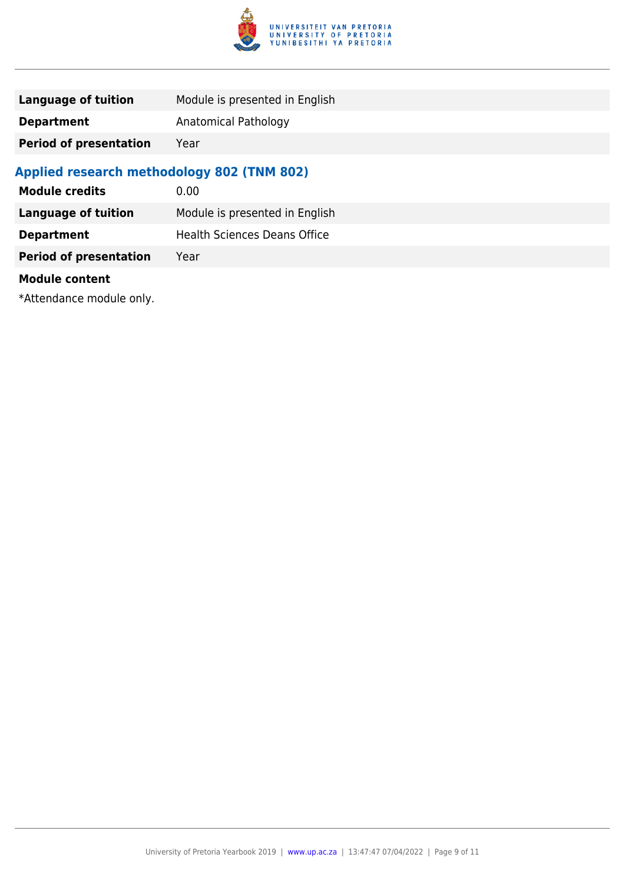

| Language of tuition           | Module is presented in English |
|-------------------------------|--------------------------------|
| <b>Department</b>             | Anatomical Pathology           |
| <b>Period of presentation</b> | Year                           |

# **Applied research methodology 802 (TNM 802)**

| <b>Module credits</b>         | 0.00                                |
|-------------------------------|-------------------------------------|
| <b>Language of tuition</b>    | Module is presented in English      |
| <b>Department</b>             | <b>Health Sciences Deans Office</b> |
| <b>Period of presentation</b> | Year                                |
| <b>Module content</b>         |                                     |

\*Attendance module only.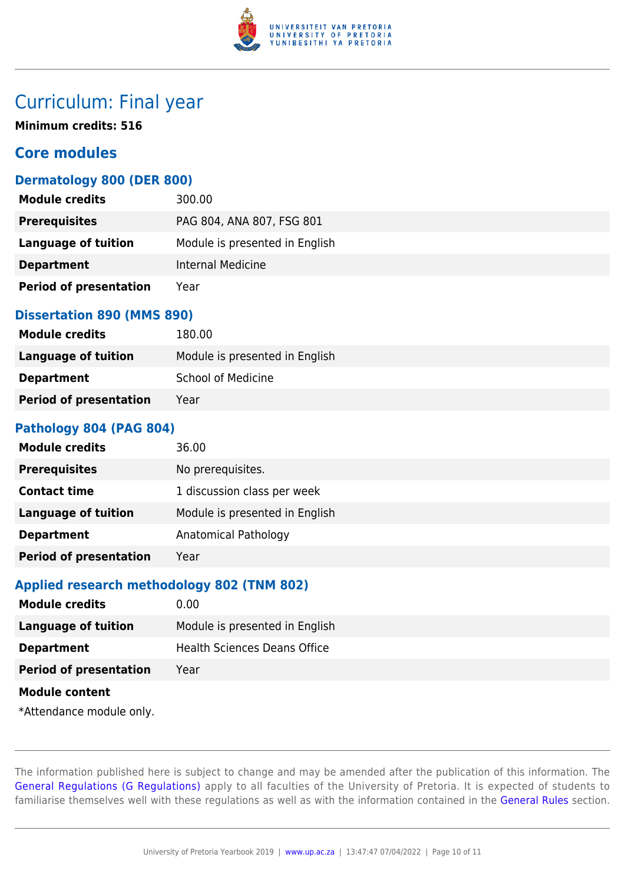

# Curriculum: Final year

**Minimum credits: 516**

# **Core modules**

#### **Dermatology 800 (DER 800)**

| <b>Module credits</b>         | 300.00                         |
|-------------------------------|--------------------------------|
| <b>Prerequisites</b>          | PAG 804, ANA 807, FSG 801      |
| <b>Language of tuition</b>    | Module is presented in English |
| <b>Department</b>             | Internal Medicine              |
| <b>Period of presentation</b> | Year                           |

#### **Dissertation 890 (MMS 890)**

| <b>Module credits</b>         | 180.00                         |
|-------------------------------|--------------------------------|
| Language of tuition           | Module is presented in English |
| <b>Department</b>             | School of Medicine             |
| <b>Period of presentation</b> | Year                           |

#### **Pathology 804 (PAG 804)**

| <b>Module credits</b>         | 36.00                          |
|-------------------------------|--------------------------------|
| <b>Prerequisites</b>          | No prerequisites.              |
| <b>Contact time</b>           | 1 discussion class per week    |
| Language of tuition           | Module is presented in English |
| <b>Department</b>             | Anatomical Pathology           |
| <b>Period of presentation</b> | Year                           |

#### **Applied research methodology 802 (TNM 802)**

| <b>Module credits</b>         | 0.00                                |
|-------------------------------|-------------------------------------|
| <b>Language of tuition</b>    | Module is presented in English      |
| <b>Department</b>             | <b>Health Sciences Deans Office</b> |
| <b>Period of presentation</b> | Year                                |
| <b>Module content</b>         |                                     |
| *Attendance module only.      |                                     |

The information published here is subject to change and may be amended after the publication of this information. The [General Regulations \(G Regulations\)](https://www.up.ac.za/faculty-of-education/yearbooks/2019/rules/view/REG) apply to all faculties of the University of Pretoria. It is expected of students to familiarise themselves well with these regulations as well as with the information contained in the [General Rules](https://www.up.ac.za/faculty-of-education/yearbooks/2019/rules/view/RUL) section.